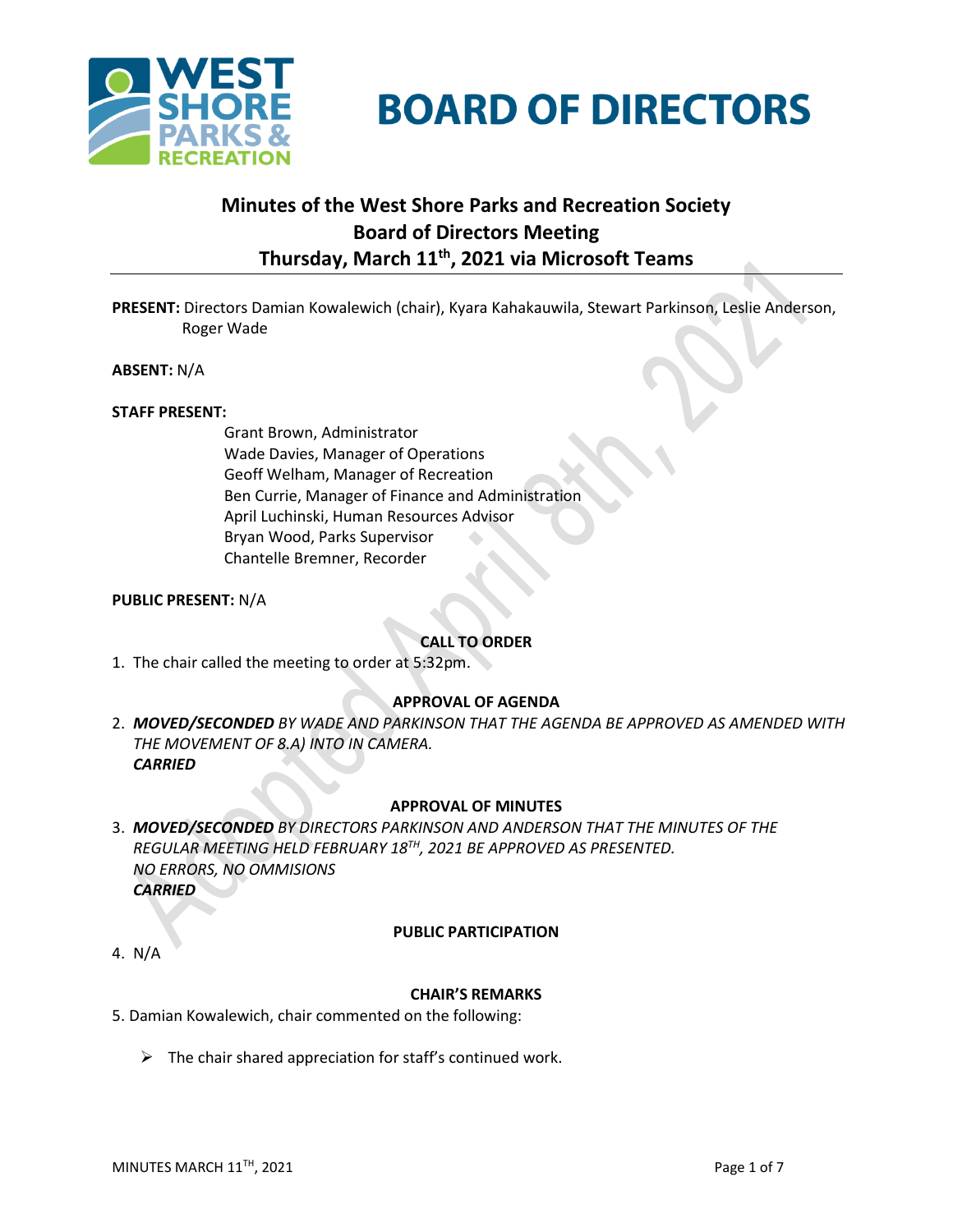



# **Minutes of the West Shore Parks and Recreation Society Board of Directors Meeting Thursday, March 11 th , 2021 via Microsoft Teams**

**PRESENT:** Directors Damian Kowalewich (chair), Kyara Kahakauwila, Stewart Parkinson, Leslie Anderson, Roger Wade

**ABSENT:** N/A

#### **STAFF PRESENT:**

Grant Brown, Administrator Wade Davies, Manager of Operations Geoff Welham, Manager of Recreation Ben Currie, Manager of Finance and Administration April Luchinski, Human Resources Advisor Bryan Wood, Parks Supervisor Chantelle Bremner, Recorder

#### **PUBLIC PRESENT:** N/A

#### **CALL TO ORDER**

1. The chair called the meeting to order at 5:32pm.

#### **APPROVAL OF AGENDA**

2. *MOVED/SECONDED BY WADE AND PARKINSON THAT THE AGENDA BE APPROVED AS AMENDED WITH THE MOVEMENT OF 8.A) INTO IN CAMERA. CARRIED*

#### **APPROVAL OF MINUTES**

3. *MOVED/SECONDED BY DIRECTORS PARKINSON AND ANDERSON THAT THE MINUTES OF THE REGULAR MEETING HELD FEBRUARY 18TH, 2021 BE APPROVED AS PRESENTED. NO ERRORS, NO OMMISIONS CARRIED*

#### **PUBLIC PARTICIPATION**

4. N/A

#### **CHAIR'S REMARKS**

- 5. Damian Kowalewich, chair commented on the following:
	- $\triangleright$  The chair shared appreciation for staff's continued work.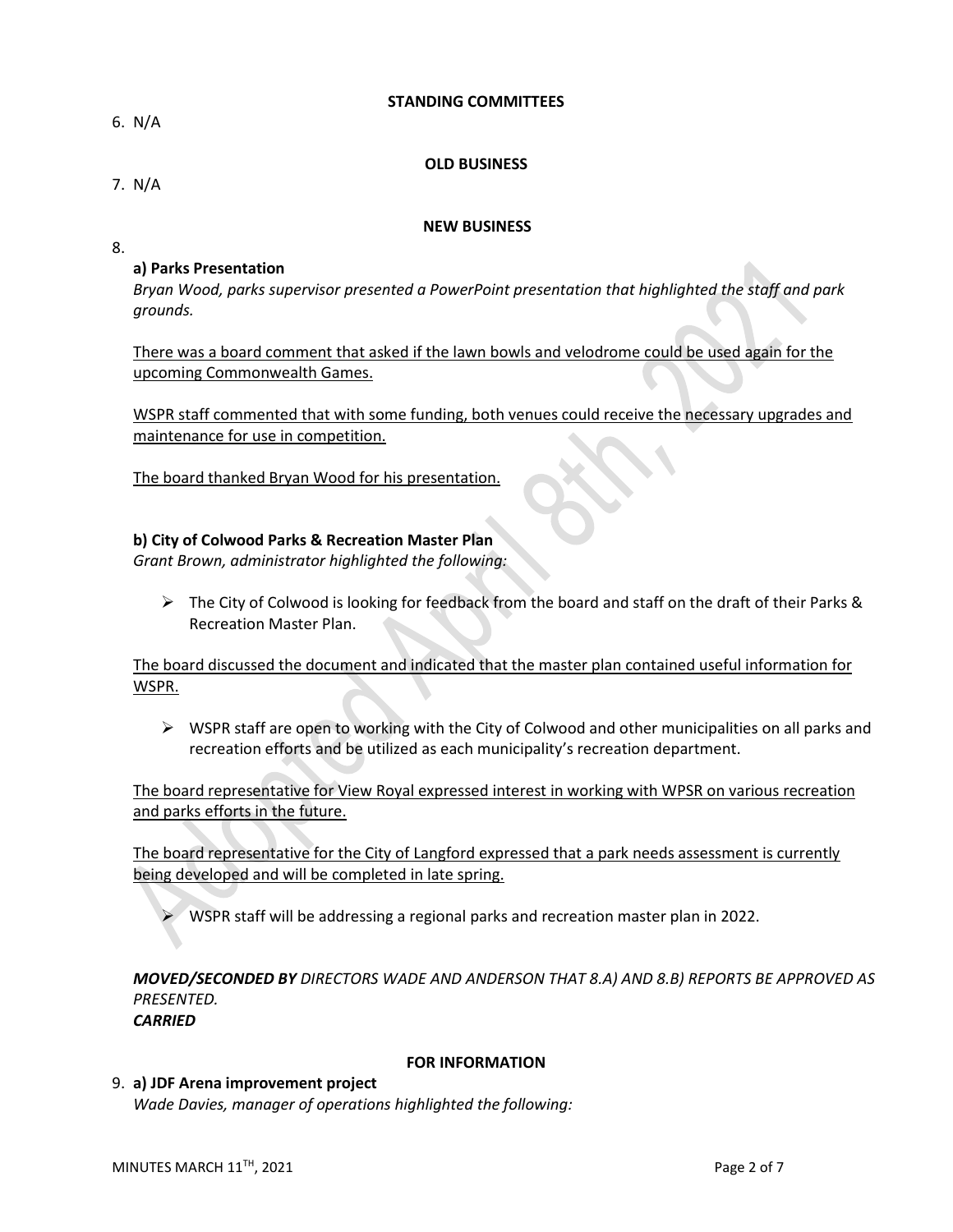#### **STANDING COMMITTEES**

6. N/A

## **OLD BUSINESS**

7. N/A

# **NEW BUSINESS**

8.

# **a) Parks Presentation**

*Bryan Wood, parks supervisor presented a PowerPoint presentation that highlighted the staff and park grounds.*

There was a board comment that asked if the lawn bowls and velodrome could be used again for the upcoming Commonwealth Games.

WSPR staff commented that with some funding, both venues could receive the necessary upgrades and maintenance for use in competition.

The board thanked Bryan Wood for his presentation.

# **b) City of Colwood Parks & Recreation Master Plan**

*Grant Brown, administrator highlighted the following:*

 $\triangleright$  The City of Colwood is looking for feedback from the board and staff on the draft of their Parks & Recreation Master Plan.

The board discussed the document and indicated that the master plan contained useful information for WSPR.

 $\triangleright$  WSPR staff are open to working with the City of Colwood and other municipalities on all parks and recreation efforts and be utilized as each municipality's recreation department.

The board representative for View Royal expressed interest in working with WPSR on various recreation and parks efforts in the future.

The board representative for the City of Langford expressed that a park needs assessment is currently being developed and will be completed in late spring.

➢ WSPR staff will be addressing a regional parks and recreation master plan in 2022.

*MOVED/SECONDED BY DIRECTORS WADE AND ANDERSON THAT 8.A) AND 8.B) REPORTS BE APPROVED AS PRESENTED. CARRIED*

## **FOR INFORMATION**

#### 9. **a) JDF Arena improvement project** *Wade Davies, manager of operations highlighted the following:*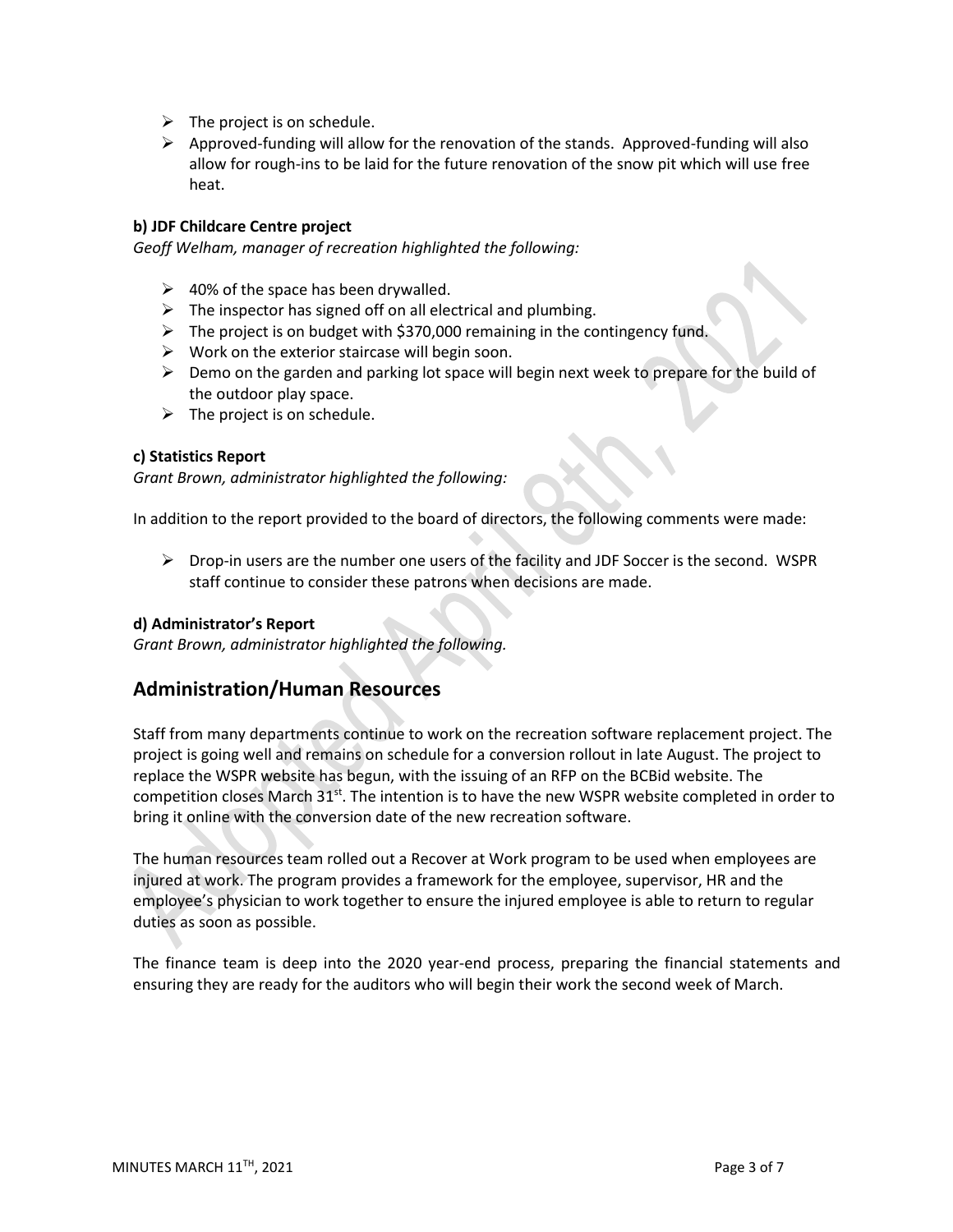- $\triangleright$  The project is on schedule.
- $\triangleright$  Approved-funding will allow for the renovation of the stands. Approved-funding will also allow for rough-ins to be laid for the future renovation of the snow pit which will use free heat.

## **b) JDF Childcare Centre project**

*Geoff Welham, manager of recreation highlighted the following:*

- $\geq$  40% of the space has been drywalled.
- $\triangleright$  The inspector has signed off on all electrical and plumbing.
- $\triangleright$  The project is on budget with \$370,000 remaining in the contingency fund.
- $\triangleright$  Work on the exterior staircase will begin soon.
- ➢ Demo on the garden and parking lot space will begin next week to prepare for the build of the outdoor play space.
- $\triangleright$  The project is on schedule.

#### **c) Statistics Report**

*Grant Brown, administrator highlighted the following:*

In addition to the report provided to the board of directors, the following comments were made:

 $\triangleright$  Drop-in users are the number one users of the facility and JDF Soccer is the second. WSPR staff continue to consider these patrons when decisions are made.

## **d) Administrator's Report**

*Grant Brown, administrator highlighted the following.*

# **Administration/Human Resources**

Staff from many departments continue to work on the recreation software replacement project. The project is going well and remains on schedule for a conversion rollout in late August. The project to replace the WSPR website has begun, with the issuing of an RFP on the BCBid website. The competition closes March 31<sup>st</sup>. The intention is to have the new WSPR website completed in order to bring it online with the conversion date of the new recreation software.

The human resources team rolled out a Recover at Work program to be used when employees are injured at work. The program provides a framework for the employee, supervisor, HR and the employee's physician to work together to ensure the injured employee is able to return to regular duties as soon as possible.

The finance team is deep into the 2020 year-end process, preparing the financial statements and ensuring they are ready for the auditors who will begin their work the second week of March.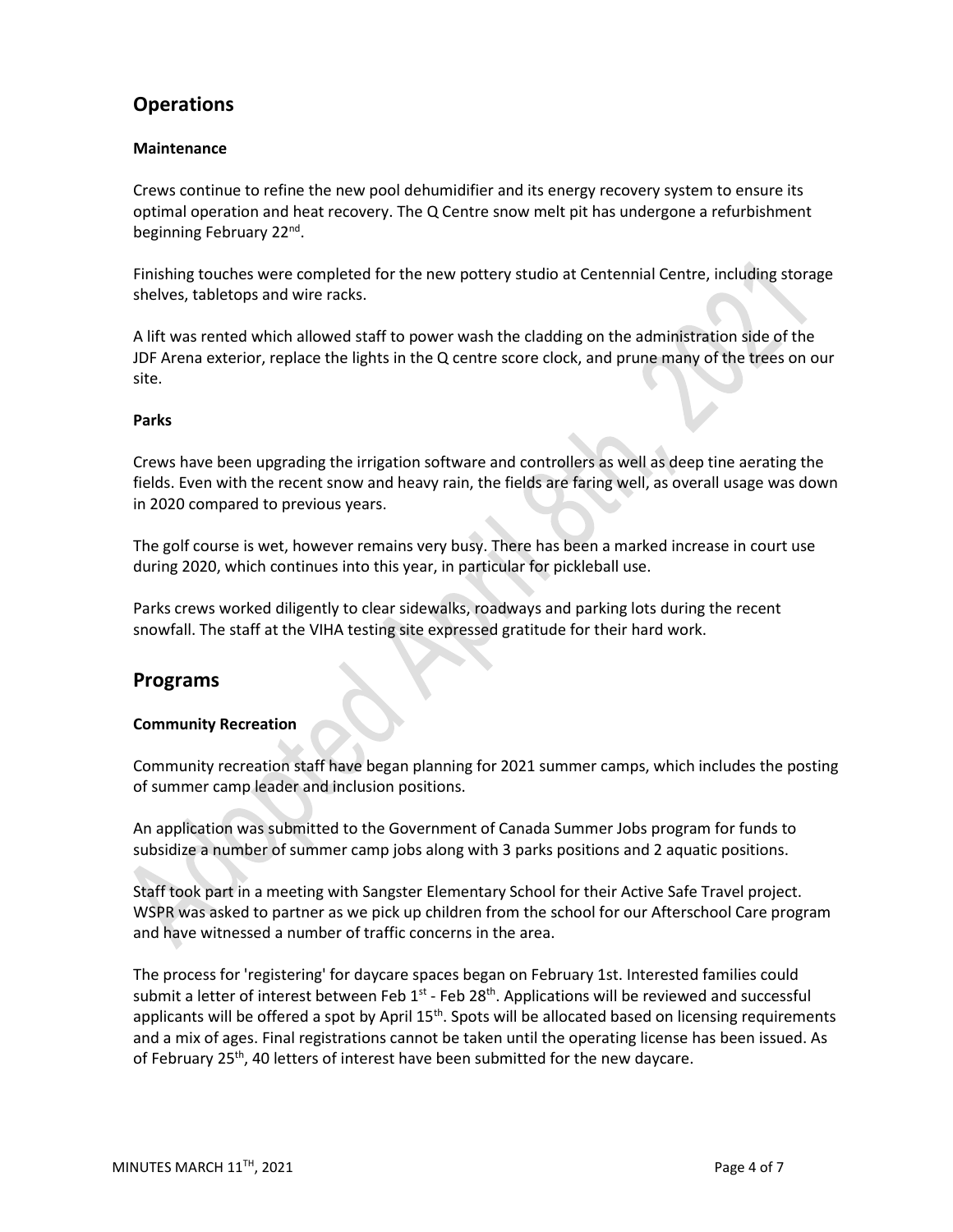# **Operations**

# **Maintenance**

Crews continue to refine the new pool dehumidifier and its energy recovery system to ensure its optimal operation and heat recovery. The Q Centre snow melt pit has undergone a refurbishment beginning February 22<sup>nd</sup>.

Finishing touches were completed for the new pottery studio at Centennial Centre, including storage shelves, tabletops and wire racks.

A lift was rented which allowed staff to power wash the cladding on the administration side of the JDF Arena exterior, replace the lights in the Q centre score clock, and prune many of the trees on our site.

# **Parks**

Crews have been upgrading the irrigation software and controllers as well as deep tine aerating the fields. Even with the recent snow and heavy rain, the fields are faring well, as overall usage was down in 2020 compared to previous years.

The golf course is wet, however remains very busy. There has been a marked increase in court use during 2020, which continues into this year, in particular for pickleball use.

Parks crews worked diligently to clear sidewalks, roadways and parking lots during the recent snowfall. The staff at the VIHA testing site expressed gratitude for their hard work.

# **Programs**

## **Community Recreation**

Community recreation staff have began planning for 2021 summer camps, which includes the posting of summer camp leader and inclusion positions.

An application was submitted to the Government of Canada Summer Jobs program for funds to subsidize a number of summer camp jobs along with 3 parks positions and 2 aquatic positions.

Staff took part in a meeting with Sangster Elementary School for their Active Safe Travel project. WSPR was asked to partner as we pick up children from the school for our Afterschool Care program and have witnessed a number of traffic concerns in the area.

The process for 'registering' for daycare spaces began on February 1st. Interested families could submit a letter of interest between Feb  $1^{st}$  - Feb 28<sup>th</sup>. Applications will be reviewed and successful applicants will be offered a spot by April 15<sup>th</sup>. Spots will be allocated based on licensing requirements and a mix of ages. Final registrations cannot be taken until the operating license has been issued. As of February 25<sup>th</sup>, 40 letters of interest have been submitted for the new daycare.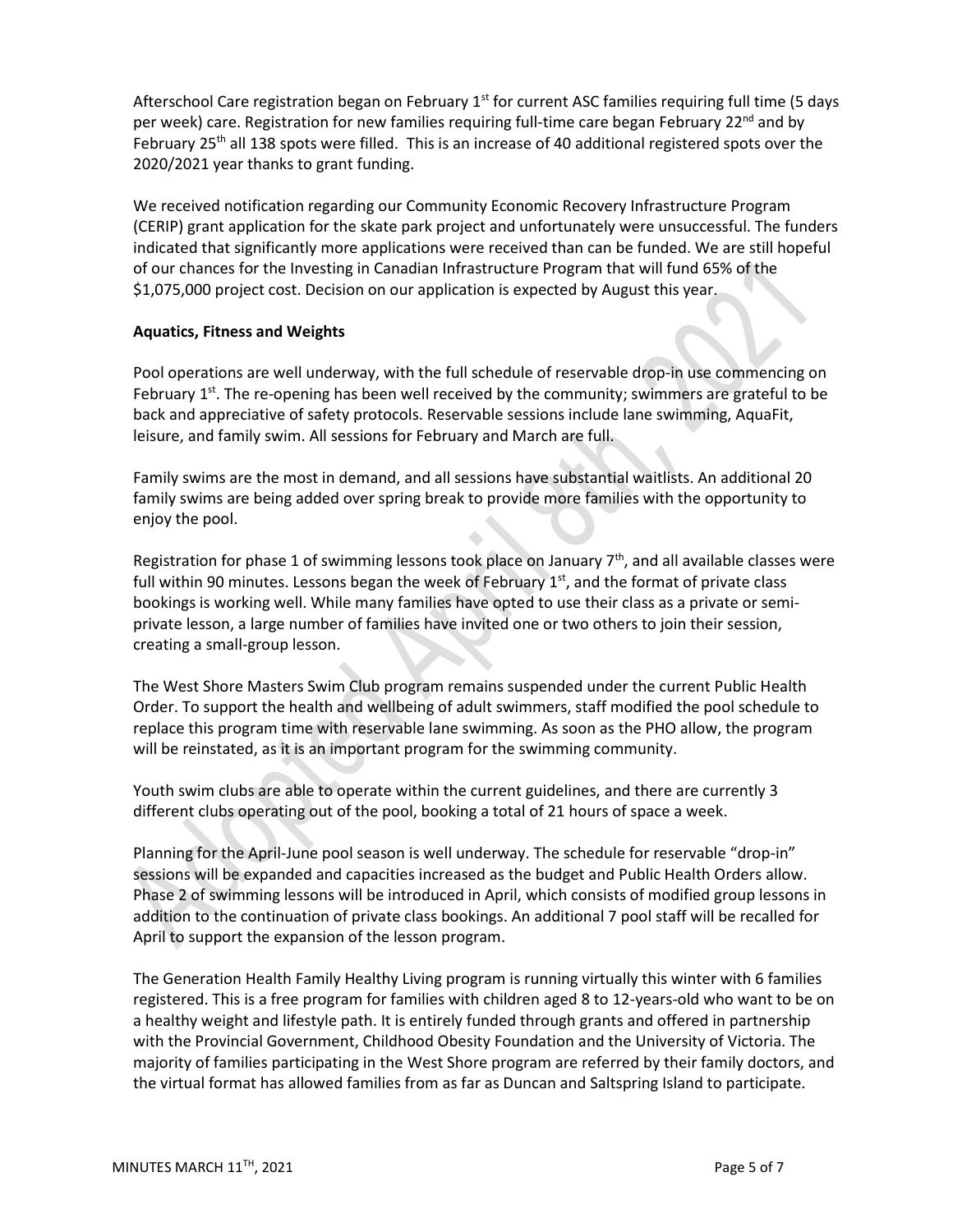Afterschool Care registration began on February 1<sup>st</sup> for current ASC families requiring full time (5 days per week) care. Registration for new families requiring full-time care began February 22<sup>nd</sup> and by February 25<sup>th</sup> all 138 spots were filled. This is an increase of 40 additional registered spots over the 2020/2021 year thanks to grant funding.

We received notification regarding our Community Economic Recovery Infrastructure Program (CERIP) grant application for the skate park project and unfortunately were unsuccessful. The funders indicated that significantly more applications were received than can be funded. We are still hopeful of our chances for the Investing in Canadian Infrastructure Program that will fund 65% of the \$1,075,000 project cost. Decision on our application is expected by August this year.

## **Aquatics, Fitness and Weights**

Pool operations are well underway, with the full schedule of reservable drop-in use commencing on February  $1^{st}$ . The re-opening has been well received by the community; swimmers are grateful to be back and appreciative of safety protocols. Reservable sessions include lane swimming, AquaFit, leisure, and family swim. All sessions for February and March are full.

Family swims are the most in demand, and all sessions have substantial waitlists. An additional 20 family swims are being added over spring break to provide more families with the opportunity to enjoy the pool.

Registration for phase 1 of swimming lessons took place on January 7<sup>th</sup>, and all available classes were full within 90 minutes. Lessons began the week of February  $1<sup>st</sup>$ , and the format of private class bookings is working well. While many families have opted to use their class as a private or semiprivate lesson, a large number of families have invited one or two others to join their session, creating a small-group lesson.

The West Shore Masters Swim Club program remains suspended under the current Public Health Order. To support the health and wellbeing of adult swimmers, staff modified the pool schedule to replace this program time with reservable lane swimming. As soon as the PHO allow, the program will be reinstated, as it is an important program for the swimming community.

Youth swim clubs are able to operate within the current guidelines, and there are currently 3 different clubs operating out of the pool, booking a total of 21 hours of space a week.

Planning for the April-June pool season is well underway. The schedule for reservable "drop-in" sessions will be expanded and capacities increased as the budget and Public Health Orders allow. Phase 2 of swimming lessons will be introduced in April, which consists of modified group lessons in addition to the continuation of private class bookings. An additional 7 pool staff will be recalled for April to support the expansion of the lesson program.

The Generation Health Family Healthy Living program is running virtually this winter with 6 families registered. This is a free program for families with children aged 8 to 12-years-old who want to be on a healthy weight and lifestyle path. It is entirely funded through grants and offered in partnership with the Provincial Government, Childhood Obesity Foundation and the University of Victoria. The majority of families participating in the West Shore program are referred by their family doctors, and the virtual format has allowed families from as far as Duncan and Saltspring Island to participate.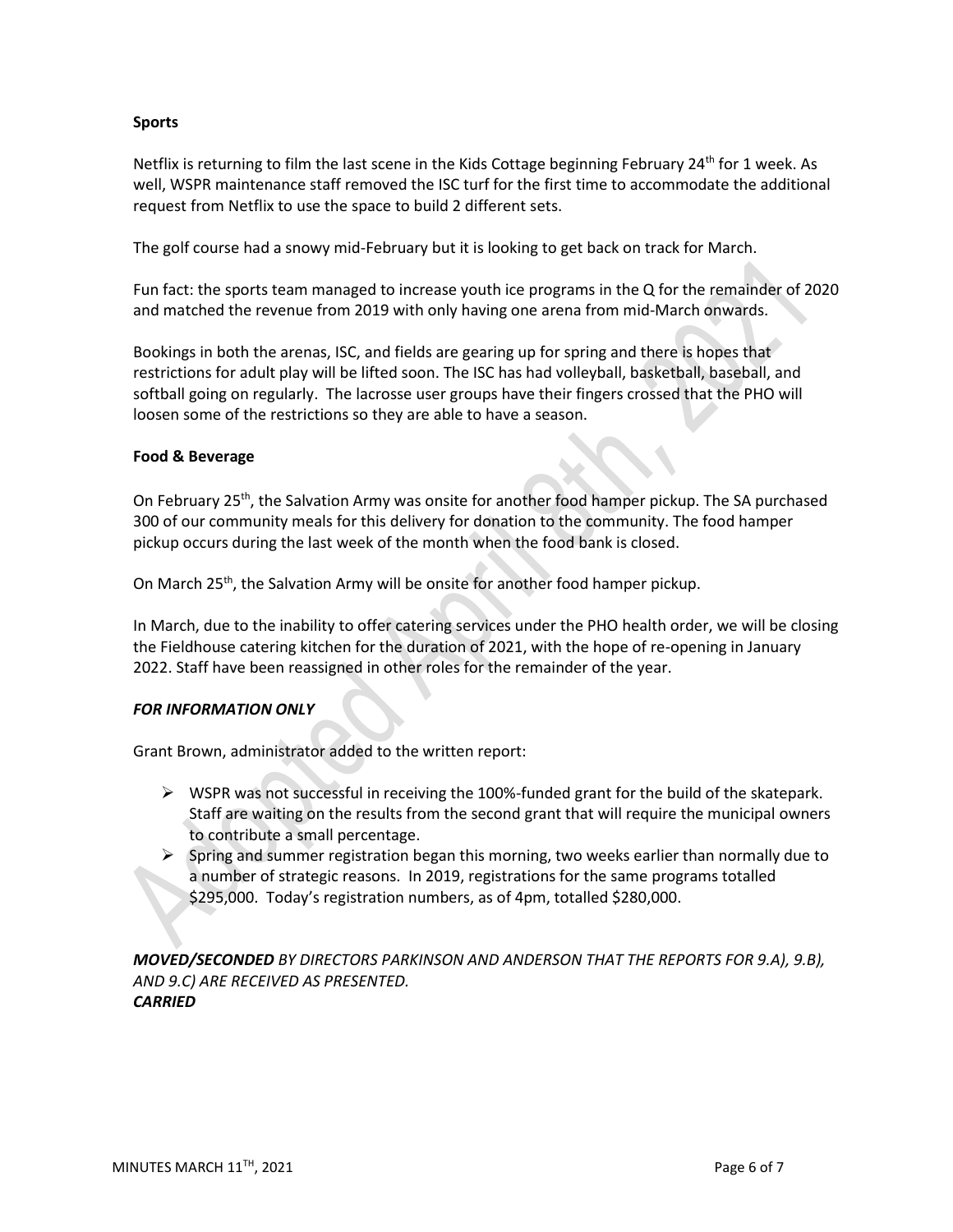### **Sports**

Netflix is returning to film the last scene in the Kids Cottage beginning February 24<sup>th</sup> for 1 week. As well, WSPR maintenance staff removed the ISC turf for the first time to accommodate the additional request from Netflix to use the space to build 2 different sets.

The golf course had a snowy mid-February but it is looking to get back on track for March.

Fun fact: the sports team managed to increase youth ice programs in the Q for the remainder of 2020 and matched the revenue from 2019 with only having one arena from mid-March onwards.

Bookings in both the arenas, ISC, and fields are gearing up for spring and there is hopes that restrictions for adult play will be lifted soon. The ISC has had volleyball, basketball, baseball, and softball going on regularly. The lacrosse user groups have their fingers crossed that the PHO will loosen some of the restrictions so they are able to have a season.

#### **Food & Beverage**

On February 25<sup>th</sup>, the Salvation Army was onsite for another food hamper pickup. The SA purchased 300 of our community meals for this delivery for donation to the community. The food hamper pickup occurs during the last week of the month when the food bank is closed.

On March 25<sup>th</sup>, the Salvation Army will be onsite for another food hamper pickup.

In March, due to the inability to offer catering services under the PHO health order, we will be closing the Fieldhouse catering kitchen for the duration of 2021, with the hope of re-opening in January 2022. Staff have been reassigned in other roles for the remainder of the year.

## *FOR INFORMATION ONLY*

Grant Brown, administrator added to the written report:

- $\triangleright$  WSPR was not successful in receiving the 100%-funded grant for the build of the skatepark. Staff are waiting on the results from the second grant that will require the municipal owners to contribute a small percentage.
- $\triangleright$  Spring and summer registration began this morning, two weeks earlier than normally due to a number of strategic reasons. In 2019, registrations for the same programs totalled \$295,000. Today's registration numbers, as of 4pm, totalled \$280,000.

*MOVED/SECONDED BY DIRECTORS PARKINSON AND ANDERSON THAT THE REPORTS FOR 9.A), 9.B), AND 9.C) ARE RECEIVED AS PRESENTED. CARRIED*